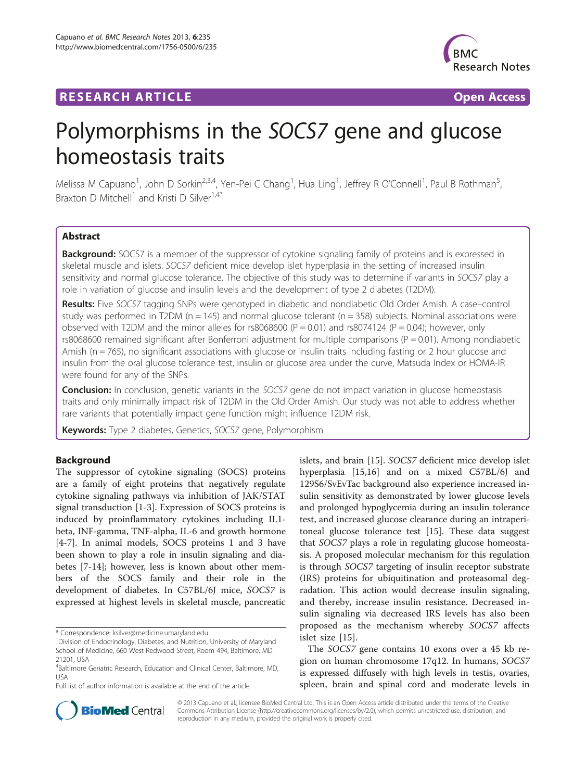## **RESEARCH ARTICLE Example 2018 12:00 Department 2018 12:00 Department 2018 12:00 Department 2018 12:00 Department 2018 12:00 Department 2018 12:00 Department 2018 12:00 Department 2018 12:00 Department 2018 12:00 Departm**



# Polymorphisms in the SOCS7 gene and glucose homeostasis traits

Melissa M Capuano<sup>1</sup>, John D Sorkin<sup>2,3,4</sup>, Yen-Pei C Chang<sup>1</sup>, Hua Ling<sup>1</sup>, Jeffrey R O'Connell<sup>1</sup>, Paul B Rothman<sup>5</sup> , Braxton D Mitchell<sup>1</sup> and Kristi D Silver<sup>1,4\*</sup>

## Abstract

**Background:** SOCS7 is a member of the suppressor of cytokine signaling family of proteins and is expressed in skeletal muscle and islets. SOCS7 deficient mice develop islet hyperplasia in the setting of increased insulin sensitivity and normal glucose tolerance. The objective of this study was to determine if variants in SOCS7 play a role in variation of glucose and insulin levels and the development of type 2 diabetes (T2DM).

Results: Five SOCS7 tagging SNPs were genotyped in diabetic and nondiabetic Old Order Amish. A case–control study was performed in T2DM ( $n = 145$ ) and normal glucose tolerant ( $n = 358$ ) subjects. Nominal associations were observed with T2DM and the minor alleles for rs8068600 (P = 0.01) and rs8074124 (P = 0.04); however, only rs8068600 remained significant after Bonferroni adjustment for multiple comparisons ( $P = 0.01$ ). Among nondiabetic Amish (n = 765), no significant associations with glucose or insulin traits including fasting or 2 hour glucose and insulin from the oral glucose tolerance test, insulin or glucose area under the curve, Matsuda Index or HOMA-IR were found for any of the SNPs.

**Conclusion:** In conclusion, genetic variants in the SOCS7 gene do not impact variation in glucose homeostasis traits and only minimally impact risk of T2DM in the Old Order Amish. Our study was not able to address whether rare variants that potentially impact gene function might influence T2DM risk.

Keywords: Type 2 diabetes, Genetics, SOCS7 gene, Polymorphism

## Background

The suppressor of cytokine signaling (SOCS) proteins are a family of eight proteins that negatively regulate cytokine signaling pathways via inhibition of JAK/STAT signal transduction [[1-3](#page-4-0)]. Expression of SOCS proteins is induced by proinflammatory cytokines including IL1 beta, INF-gamma, TNF-alpha, IL-6 and growth hormone [[4-7](#page-4-0)]. In animal models, SOCS proteins 1 and 3 have been shown to play a role in insulin signaling and diabetes [[7-14](#page-4-0)]; however, less is known about other members of the SOCS family and their role in the development of diabetes. In C57BL/6J mice, SOCS7 is expressed at highest levels in skeletal muscle, pancreatic

Full list of author information is available at the end of the article

islets, and brain [\[15](#page-4-0)]. SOCS7 deficient mice develop islet hyperplasia [\[15,16\]](#page-4-0) and on a mixed C57BL/6J and 129S6/SvEvTac background also experience increased insulin sensitivity as demonstrated by lower glucose levels and prolonged hypoglycemia during an insulin tolerance test, and increased glucose clearance during an intraperitoneal glucose tolerance test [\[15](#page-4-0)]. These data suggest that SOCS7 plays a role in regulating glucose homeostasis. A proposed molecular mechanism for this regulation is through SOCS7 targeting of insulin receptor substrate (IRS) proteins for ubiquitination and proteasomal degradation. This action would decrease insulin signaling, and thereby, increase insulin resistance. Decreased insulin signaling via decreased IRS levels has also been proposed as the mechanism whereby SOCS7 affects islet size [\[15](#page-4-0)].

The SOCS7 gene contains 10 exons over a 45 kb region on human chromosome 17q12. In humans, SOCS7 is expressed diffusely with high levels in testis, ovaries, spleen, brain and spinal cord and moderate levels in



© 2013 Capuano et al.; licensee BioMed Central Ltd. This is an Open Access article distributed under the terms of the Creative Commons Attribution License [\(http://creativecommons.org/licenses/by/2.0\)](http://creativecommons.org/licenses/by/2.0), which permits unrestricted use, distribution, and reproduction in any medium, provided the original work is properly cited.

<sup>\*</sup> Correspondence: [ksilver@medicine.umaryland.edu](mailto:ksilver@medicine.umaryland.edu) <sup>1</sup>

<sup>&</sup>lt;sup>1</sup> Division of Endocrinology, Diabetes, and Nutrition, University of Maryland School of Medicine, 660 West Redwood Street, Room 494, Baltimore, MD 21201, USA

<sup>4</sup> Baltimore Geriatric Research, Education and Clinical Center, Baltimore, MD, USA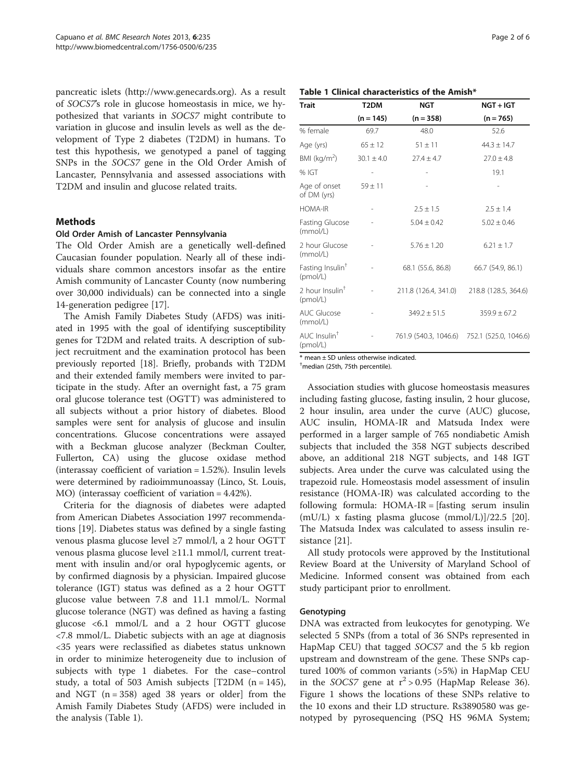<span id="page-1-0"></span>pancreatic islets [\(http://www.genecards.org](http://www.genecards.org)). As a result of SOCS7's role in glucose homeostasis in mice, we hypothesized that variants in SOCS7 might contribute to variation in glucose and insulin levels as well as the development of Type 2 diabetes (T2DM) in humans. To test this hypothesis, we genotyped a panel of tagging SNPs in the SOCS7 gene in the Old Order Amish of Lancaster, Pennsylvania and assessed associations with T2DM and insulin and glucose related traits.

## Methods

## Old Order Amish of Lancaster Pennsylvania

The Old Order Amish are a genetically well-defined Caucasian founder population. Nearly all of these individuals share common ancestors insofar as the entire Amish community of Lancaster County (now numbering over 30,000 individuals) can be connected into a single 14-generation pedigree [[17\]](#page-4-0).

The Amish Family Diabetes Study (AFDS) was initiated in 1995 with the goal of identifying susceptibility genes for T2DM and related traits. A description of subject recruitment and the examination protocol has been previously reported [[18](#page-4-0)]. Briefly, probands with T2DM and their extended family members were invited to participate in the study. After an overnight fast, a 75 gram oral glucose tolerance test (OGTT) was administered to all subjects without a prior history of diabetes. Blood samples were sent for analysis of glucose and insulin concentrations. Glucose concentrations were assayed with a Beckman glucose analyzer (Beckman Coulter, Fullerton, CA) using the glucose oxidase method (interassay coefficient of variation = 1.52%). Insulin levels were determined by radioimmunoassay (Linco, St. Louis, MO) (interassay coefficient of variation = 4.42%).

Criteria for the diagnosis of diabetes were adapted from American Diabetes Association 1997 recommendations [[19\]](#page-4-0). Diabetes status was defined by a single fasting venous plasma glucose level ≥7 mmol/l, a 2 hour OGTT venous plasma glucose level ≥11.1 mmol/l, current treatment with insulin and/or oral hypoglycemic agents, or by confirmed diagnosis by a physician. Impaired glucose tolerance (IGT) status was defined as a 2 hour OGTT glucose value between 7.8 and 11.1 mmol/L. Normal glucose tolerance (NGT) was defined as having a fasting glucose <6.1 mmol/L and a 2 hour OGTT glucose <7.8 mmol/L. Diabetic subjects with an age at diagnosis <35 years were reclassified as diabetes status unknown in order to minimize heterogeneity due to inclusion of subjects with type 1 diabetes. For the case–control study, a total of 503 Amish subjects [T2DM  $(n = 145)$ , and NGT  $(n = 358)$  aged 38 years or older] from the Amish Family Diabetes Study (AFDS) were included in the analysis (Table 1).

| ics of the Amish $^\ast$ |           |
|--------------------------|-----------|
| NGT                      | NGT + IGT |

| Trait                                    | T2DM           | NGT                   | NGT + IGT<br>$(n = 765)$<br>52.6 |  |  |
|------------------------------------------|----------------|-----------------------|----------------------------------|--|--|
|                                          | $(n = 145)$    | $(n = 358)$           |                                  |  |  |
| % female                                 | 69.7           | 48.0                  |                                  |  |  |
| Age (yrs)                                | $65 \pm 12$    | $51 \pm 11$           | $44.3 \pm 14.7$                  |  |  |
| BMI ( $kg/m2$ )                          | $30.1 \pm 4.0$ | $27.4 \pm 4.7$        | $27.0 \pm 4.8$                   |  |  |
| % IGT                                    |                |                       | 19.1                             |  |  |
| Age of onset<br>of DM (yrs)              | $59 \pm 11$    |                       |                                  |  |  |
| <b>HOMA-IR</b>                           |                | $2.5 \pm 1.5$         | $2.5 \pm 1.4$                    |  |  |
| Fasting Glucose<br>(mmol/L)              |                | $5.04 \pm 0.42$       | $5.02 \pm 0.46$                  |  |  |
| 2 hour Glucose<br>(mmol/L)               |                | $5.76 \pm 1.20$       | $6.21 \pm 1.7$                   |  |  |
| Fasting Insulin <sup>+</sup><br>(pmol/L) |                | 68.1 (55.6, 86.8)     | 66.7 (54.9, 86.1)                |  |  |
| 2 hour Insulin <sup>+</sup><br>(pmol/L)  |                | 211.8 (126.4, 341.0)  | 218.8 (128.5, 364.6)             |  |  |
| <b>AUC Glucose</b><br>(mmol/L)           |                | $349.2 \pm 51.5$      | $359.9 \pm 67.2$                 |  |  |
| AUC Insulin <sup>†</sup><br>(pmol/L)     |                | 761.9 (540.3, 1046.6) | 752.1 (525.0, 1046.6)            |  |  |

\* mean ± SD unless otherwise indicated.

Table 1 Clinical characterist

† median (25th, 75th percentile).

Association studies with glucose homeostasis measures including fasting glucose, fasting insulin, 2 hour glucose, 2 hour insulin, area under the curve (AUC) glucose, AUC insulin, HOMA-IR and Matsuda Index were performed in a larger sample of 765 nondiabetic Amish subjects that included the 358 NGT subjects described above, an additional 218 NGT subjects, and 148 IGT subjects. Area under the curve was calculated using the trapezoid rule. Homeostasis model assessment of insulin resistance (HOMA-IR) was calculated according to the following formula: HOMA-IR = [fasting serum insulin  $(mU/L)$  x fasting plasma glucose  $(mmol/L)/22.5$  [\[20](#page-4-0)]. The Matsuda Index was calculated to assess insulin resistance [[21\]](#page-4-0).

All study protocols were approved by the Institutional Review Board at the University of Maryland School of Medicine. Informed consent was obtained from each study participant prior to enrollment.

## Genotyping

DNA was extracted from leukocytes for genotyping. We selected 5 SNPs (from a total of 36 SNPs represented in HapMap CEU) that tagged SOCS7 and the 5 kb region upstream and downstream of the gene. These SNPs captured 100% of common variants (>5%) in HapMap CEU in the SOCS7 gene at  $r^2 > 0.95$  (HapMap Release 36). Figure [1](#page-2-0) shows the locations of these SNPs relative to the 10 exons and their LD structure. Rs3890580 was genotyped by pyrosequencing (PSQ HS 96MA System;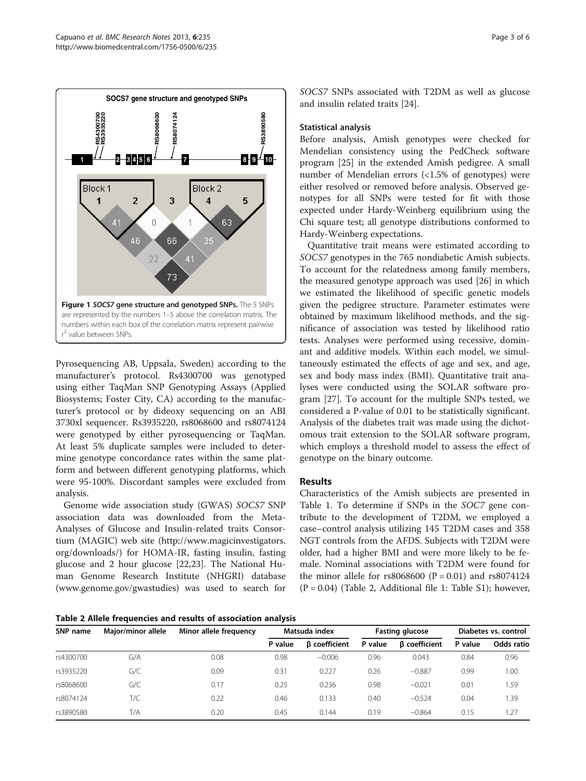<span id="page-2-0"></span>

Pyrosequencing AB, Uppsala, Sweden) according to the manufacturer's protocol. Rs4300700 was genotyped using either TaqMan SNP Genotyping Assays (Applied Biosystems; Foster City, CA) according to the manufacturer's protocol or by dideoxy sequencing on an ABI 3730xl sequencer. Rs3935220, rs8068600 and rs8074124 were genotyped by either pyrosequencing or TaqMan. At least 5% duplicate samples were included to determine genotype concordance rates within the same platform and between different genotyping platforms, which were 95-100%. Discordant samples were excluded from analysis.

Genome wide association study (GWAS) SOCS7 SNP association data was downloaded from the Meta-Analyses of Glucose and Insulin-related traits Consortium (MAGIC) web site [\(http://www.magicinvestigators.](http://www.magicinvestigators.org/downloads/) [org/downloads/](http://www.magicinvestigators.org/downloads/)) for HOMA-IR, fasting insulin, fasting glucose and 2 hour glucose [\[22,23](#page-4-0)]. The National Human Genome Research Institute (NHGRI) database ([www.genome.gov/gwastudies](http://www.genome.gov/gwastudies)) was used to search for SOCS7 SNPs associated with T2DM as well as glucose and insulin related traits [[24\]](#page-4-0).

## Statistical analysis

Before analysis, Amish genotypes were checked for Mendelian consistency using the PedCheck software program [[25\]](#page-4-0) in the extended Amish pedigree. A small number of Mendelian errors (<1.5% of genotypes) were either resolved or removed before analysis. Observed genotypes for all SNPs were tested for fit with those expected under Hardy-Weinberg equilibrium using the Chi square test; all genotype distributions conformed to Hardy-Weinberg expectations.

Quantitative trait means were estimated according to SOCS7 genotypes in the 765 nondiabetic Amish subjects. To account for the relatedness among family members, the measured genotype approach was used [\[26\]](#page-4-0) in which we estimated the likelihood of specific genetic models given the pedigree structure. Parameter estimates were obtained by maximum likelihood methods, and the significance of association was tested by likelihood ratio tests. Analyses were performed using recessive, dominant and additive models. Within each model, we simultaneously estimated the effects of age and sex, and age, sex and body mass index (BMI). Quantitative trait analyses were conducted using the SOLAR software program [[27](#page-4-0)]. To account for the multiple SNPs tested, we considered a P-value of 0.01 to be statistically significant. Analysis of the diabetes trait was made using the dichotomous trait extension to the SOLAR software program, which employs a threshold model to assess the effect of genotype on the binary outcome.

## Results

Characteristics of the Amish subjects are presented in Table [1.](#page-1-0) To determine if SNPs in the SOC7 gene contribute to the development of T2DM, we employed a case–control analysis utilizing 145 T2DM cases and 358 NGT controls from the AFDS. Subjects with T2DM were older, had a higher BMI and were more likely to be female. Nominal associations with T2DM were found for the minor allele for  $rs8068600$  (P = 0.01) and  $rs8074124$  $(P = 0.04)$  (Table 2, Additional file [1](#page-3-0): Table S1); however,

Table 2 Allele frequencies and results of association analysis

| SNP name  | Major/minor allele | Minor allele frequency | Matsuda index |                      | <b>Fasting glucose</b> |                      | Diabetes vs. control |            |
|-----------|--------------------|------------------------|---------------|----------------------|------------------------|----------------------|----------------------|------------|
|           |                    |                        | P value       | <b>B</b> coefficient | P value                | <b>B</b> coefficient | P value              | Odds ratio |
| rs4300700 | G/A                | 0.08                   | 0.98          | $-0.006$             | 0.96                   | 0.043                | 0.84                 | 0.96       |
| rs3935220 | G/C                | 0.09                   | 0.31          | 0.227                | 0.26                   | $-0.887$             | 0.99                 | 1.00       |
| rs8068600 | G/C                | 0.17                   | 0.25          | 0.236                | 0.98                   | $-0.021$             | 0.01                 | 1.59       |
| rs8074124 | T/C                | 0.22                   | 0.46          | 0.133                | 0.40                   | $-0.524$             | 0.04                 | 1.39       |
| rs3890580 | T/A                | 0.20                   | 0.45          | 0.144                | 0.19                   | $-0.864$             | 0.15                 | 1.27       |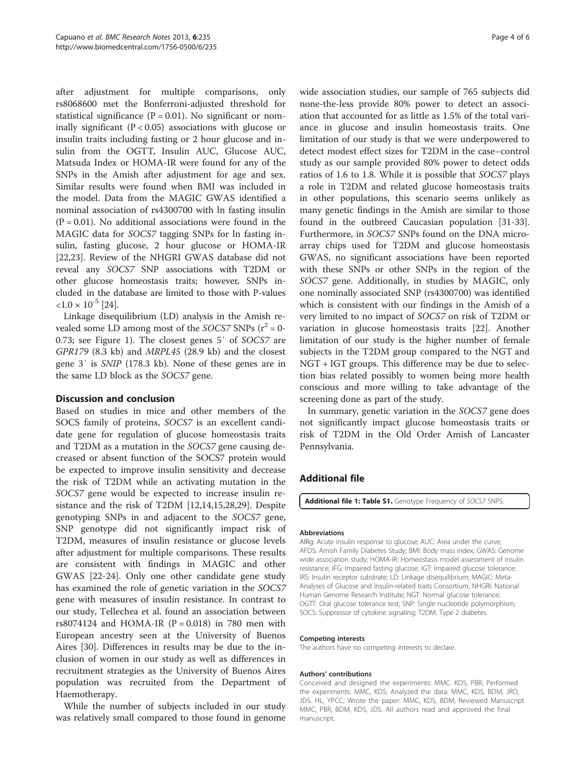<span id="page-3-0"></span>after adjustment for multiple comparisons, only rs8068600 met the Bonferroni-adjusted threshold for statistical significance ( $P = 0.01$ ). No significant or nominally significant ( $P < 0.05$ ) associations with glucose or insulin traits including fasting or 2 hour glucose and insulin from the OGTT, Insulin AUC, Glucose AUC, Matsuda Index or HOMA-IR were found for any of the SNPs in the Amish after adjustment for age and sex. Similar results were found when BMI was included in the model. Data from the MAGIC GWAS identified a nominal association of rs4300700 with ln fasting insulin  $(P = 0.01)$ . No additional associations were found in the MAGIC data for SOCS7 tagging SNPs for ln fasting insulin, fasting glucose, 2 hour glucose or HOMA-IR [[22,23\]](#page-4-0). Review of the NHGRI GWAS database did not reveal any SOCS7 SNP associations with T2DM or other glucose homeostasis traits; however, SNPs included in the database are limited to those with P-values  $< 1.0 \times 10^{-5}$  [\[24\]](#page-4-0).

Linkage disequilibrium (LD) analysis in the Amish revealed some LD among most of the SOCS7 SNPs  $(r^2 = 0 -$ 0.73; see Figure [1\)](#page-2-0). The closest genes 5′ of SOCS7 are GPR179 (8.3 kb) and MRPL45 (28.9 kb) and the closest gene 3′ is SNIP (178.3 kb). None of these genes are in the same LD block as the SOCS7 gene.

## Discussion and conclusion

Based on studies in mice and other members of the SOCS family of proteins, SOCS7 is an excellent candidate gene for regulation of glucose homeostasis traits and T2DM as a mutation in the SOCS7 gene causing decreased or absent function of the SOCS7 protein would be expected to improve insulin sensitivity and decrease the risk of T2DM while an activating mutation in the SOCS7 gene would be expected to increase insulin resistance and the risk of T2DM [\[12,14,15,28,29\]](#page-4-0). Despite genotyping SNPs in and adjacent to the SOCS7 gene, SNP genotype did not significantly impact risk of T2DM, measures of insulin resistance or glucose levels after adjustment for multiple comparisons. These results are consistent with findings in MAGIC and other GWAS [\[22](#page-4-0)-[24\]](#page-4-0). Only one other candidate gene study has examined the role of genetic variation in the SOCS7 gene with measures of insulin resistance. In contrast to our study, Tellechea et al. found an association between rs8074124 and HOMA-IR ( $P = 0.018$ ) in 780 men with European ancestry seen at the University of Buenos Aires [\[30\]](#page-4-0). Differences in results may be due to the inclusion of women in our study as well as differences in recruitment strategies as the University of Buenos Aires population was recruited from the Department of Haemotherapy.

While the number of subjects included in our study was relatively small compared to those found in genome

wide association studies, our sample of 765 subjects did none-the-less provide 80% power to detect an association that accounted for as little as 1.5% of the total variance in glucose and insulin homeostasis traits. One limitation of our study is that we were underpowered to detect modest effect sizes for T2DM in the case–control study as our sample provided 80% power to detect odds ratios of 1.6 to 1.8. While it is possible that SOCS7 plays a role in T2DM and related glucose homeostasis traits in other populations, this scenario seems unlikely as many genetic findings in the Amish are similar to those found in the outbreed Caucasian population [\[31](#page-4-0)[-33](#page-5-0)]. Furthermore, in SOCS7 SNPs found on the DNA microarray chips used for T2DM and glucose homeostasis GWAS, no significant associations have been reported with these SNPs or other SNPs in the region of the SOCS7 gene. Additionally, in studies by MAGIC, only one nominally associated SNP (rs4300700) was identified which is consistent with our findings in the Amish of a very limited to no impact of SOCS7 on risk of T2DM or variation in glucose homeostasis traits [\[22](#page-4-0)]. Another limitation of our study is the higher number of female subjects in the T2DM group compared to the NGT and NGT + IGT groups. This difference may be due to selection bias related possibly to women being more health conscious and more willing to take advantage of the screening done as part of the study.

In summary, genetic variation in the SOCS7 gene does not significantly impact glucose homeostasis traits or risk of T2DM in the Old Order Amish of Lancaster Pennsylvania.

## Additional file

[Additional file 1: Table S1.](http://www.biomedcentral.com/content/supplementary/1756-0500-6-235-S1.doc) Genotype Frequency of SOCS7 SNPS.

#### Abbreviations

AIRg: Acute insulin response to glucose; AUC: Area under the curve; AFDS: Amish Family Diabetes Study; BMI: Body mass index; GWAS: Genome wide association study; HOMA-IR: Homeostasis model assessment of insulin resistance; IFG: Impaired fasting glucose; IGT: Impaired glucose tolerance; IRS: Insulin receptor substrate; LD: Linkage disequilibrium; MAGIC: Meta-Analyses of Glucose and Insulin-related traits Consortium; NHGRI: National Human Genome Research Institute; NGT: Normal glucose tolerance; OGTT: Oral glucose tolerance test; SNP: Single nucleotide polymorphism; SOCS: Suppressor of cytokine signaling; T2DM: Type 2 diabetes.

#### Competing interests

The authors have no competing interests to declare.

#### Authors' contributions

Conceived and designed the experiments: MMC. KDS, PBR; Performed the experiments: MMC, KDS; Analyzed the data: MMC, KDS, BDM, JRO, JDS. HL, YPCC; Wrote the paper: MMC, KDS, BDM; Reviewed Manuscript MMC, PBR, BDM, KDS, JDS. All authors read and approved the final manuscript.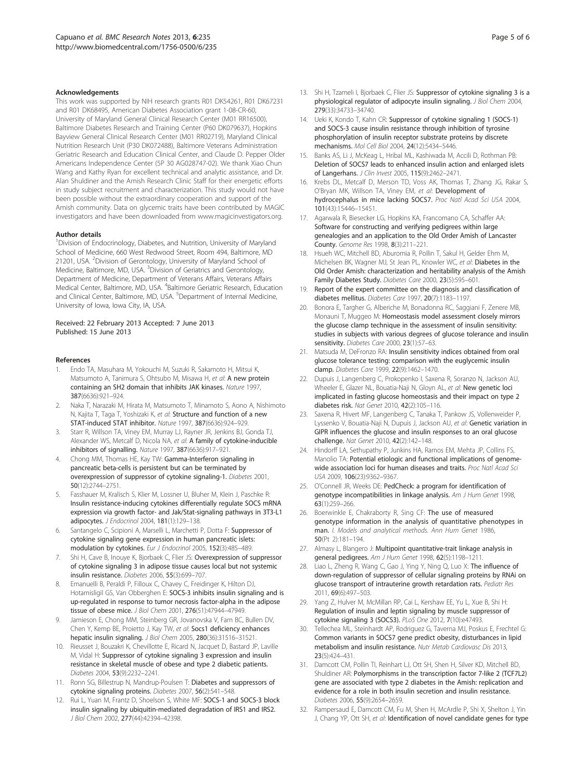#### <span id="page-4-0"></span>Acknowledgements

This work was supported by NIH research grants R01 DK54261, R01 DK67231 and R01 DK68495, American Diabetes Association grant 1-08-CR-60, University of Maryland General Clinical Research Center (M01 RR16500), Baltimore Diabetes Research and Training Center (P60 DK079637), Hopkins Bayview General Clinical Research Center (M01 RR02719), Maryland Clinical Nutrition Research Unit (P30 DK072488), Baltimore Veterans Administration Geriatric Research and Education Clinical Center, and Claude D. Pepper Older Americans Independence Center (5P 30 AG028747-02). We thank Xiao Chun Wang and Kathy Ryan for excellent technical and analytic assistance, and Dr. Alan Shuldiner and the Amish Research Clinic Staff for their energetic efforts in study subject recruitment and characterization. This study would not have been possible without the extraordinary cooperation and support of the Amish community. Data on glycemic traits have been contributed by MAGIC investigators and have been downloaded from [www.magicinvestigators.org](http://www.magicinvestigators.org).

#### Author details

<sup>1</sup> Division of Endocrinology, Diabetes, and Nutrition, University of Maryland School of Medicine, 660 West Redwood Street, Room 494, Baltimore, MD 21201, USA. <sup>2</sup> Division of Gerontology, University of Maryland School of Medicine, Baltimore, MD, USA. <sup>3</sup> Division of Geriatrics and Gerontology, Department of Medicine, Department of Veterans Affairs, Veterans Affairs Medical Center, Baltimore, MD, USA. <sup>4</sup>Baltimore Geriatric Research, Education and Clinical Center, Baltimore, MD, USA. <sup>5</sup>Department of Internal Medicine, University of Iowa, Iowa City, IA, USA.

#### Received: 22 February 2013 Accepted: 7 June 2013 Published: 15 June 2013

#### References

- 1. Endo TA, Masuhara M, Yokouchi M, Suzuki R, Sakamoto H, Mitsui K, Matsumoto A, Tanimura S, Ohtsubo M, Misawa H, et al: A new protein containing an SH2 domain that inhibits JAK kinases. Nature 1997, 387(6636):921–924.
- 2. Naka T, Narazaki M, Hirata M, Matsumoto T, Minamoto S, Aono A, Nishimoto N, Kajita T, Taga T, Yoshizaki K, et al: Structure and function of a new STAT-induced STAT inhibitor. Nature 1997, 387(6636):924–929.
- Starr R, Willson TA, Viney EM, Murray LJ, Rayner JR, Jenkins BJ, Gonda TJ, Alexander WS, Metcalf D, Nicola NA, et al: A family of cytokine-inducible inhibitors of signalling. Nature 1997, 387(6636):917–921.
- 4. Chong MM, Thomas HE, Kay TW: Gamma-Interferon signaling in pancreatic beta-cells is persistent but can be terminated by overexpression of suppressor of cytokine signaling-1. Diabetes 2001, 50(12):2744–2751.
- 5. Fasshauer M, Kralisch S, Klier M, Lossner U, Bluher M, Klein J, Paschke R: Insulin resistance-inducing cytokines differentially regulate SOCS mRNA expression via growth factor- and Jak/Stat-signaling pathways in 3T3-L1 adipocytes. J Endocrinol 2004, 181(1):129–138.
- Santangelo C, Scipioni A, Marselli L, Marchetti P, Dotta F: Suppressor of cytokine signaling gene expression in human pancreatic islets: modulation by cytokines. Eur J Endocrinol 2005, 152(3):485–489.
- Shi H, Cave B, Inouye K, Bjorbaek C, Flier JS: Overexpression of suppressor of cytokine signaling 3 in adipose tissue causes local but not systemic insulin resistance. Diabetes 2006, 55(3):699–707.
- 8. Emanuelli B, Peraldi P, Filloux C, Chavey C, Freidinger K, Hilton DJ, Hotamisligil GS, Van Obberghen E: SOCS-3 inhibits insulin signaling and is up-regulated in response to tumor necrosis factor-alpha in the adipose tissue of obese mice. J Biol Chem 2001, 276(51):47944–47949.
- Jamieson E, Chong MM, Steinberg GR, Jovanovska V, Fam BC, Bullen DV, Chen Y, Kemp BE, Proietto J, Kay TW, et al: Socs1 deficiency enhances hepatic insulin signaling. J Biol Chem 2005, 280(36):31516–31521.
- 10. Rieusset J, Bouzakri K, Chevillotte E, Ricard N, Jacquet D, Bastard JP, Laville M, Vidal H: Suppressor of cytokine signaling 3 expression and insulin resistance in skeletal muscle of obese and type 2 diabetic patients. Diabetes 2004, 53(9):2232–2241.
- 11. Ronn SG, Billestrup N, Mandrup-Poulsen T: Diabetes and suppressors of cytokine signaling proteins. Diabetes 2007, 56(2):541–548.
- 12. Rui L, Yuan M, Frantz D, Shoelson S, White MF: SOCS-1 and SOCS-3 block insulin signaling by ubiquitin-mediated degradation of IRS1 and IRS2. J Biol Chem 2002, 277(44):42394–42398.
- 13. Shi H, Tzameli I, Bjorbaek C, Flier JS: Suppressor of cytokine signaling 3 is a physiological regulator of adipocyte insulin signaling. J Biol Chem 2004, 279(33):34733–34740.
- 14. Ueki K, Kondo T, Kahn CR: Suppressor of cytokine signaling 1 (SOCS-1) and SOCS-3 cause insulin resistance through inhibition of tyrosine phosphorylation of insulin receptor substrate proteins by discrete mechanisms. Mol Cell Biol 2004, 24(12):5434–5446.
- 15. Banks AS, Li J, McKeag L, Hribal ML, Kashiwada M, Accili D, Rothman PB: Deletion of SOCS7 leads to enhanced insulin action and enlarged islets of Langerhans. J Clin Invest 2005, 115(9):2462–2471.
- 16. Krebs DL, Metcalf D, Merson TD, Voss AK, Thomas T, Zhang JG, Rakar S, O'Bryan MK, Willson TA, Viney EM, et al: Development of hydrocephalus in mice lacking SOCS7. Proc Natl Acad Sci USA 2004, 101(43):15446–15451.
- 17. Agarwala R, Biesecker LG, Hopkins KA, Francomano CA, Schaffer AA: Software for constructing and verifying pedigrees within large genealogies and an application to the Old Order Amish of Lancaster County. Genome Res 1998, 8(3):211-221.
- 18. Hsueh WC, Mitchell BD, Aburomia R, Pollin T, Sakul H, Gelder Ehm M, Michelsen BK, Wagner MJ, St Jean PL, Knowler WC, et al: Diabetes in the Old Order Amish: characterization and heritability analysis of the Amish Family Diabetes Study. Diabetes Care 2000, 23(5):595–601.
- 19. Report of the expert committee on the diagnosis and classification of diabetes mellitus. Diabetes Care 1997, 20(7):1183–1197.
- 20. Bonora E, Targher G, Alberiche M, Bonadonna RC, Saggiani F, Zenere MB, Monauni T, Muggeo M: Homeostasis model assessment closely mirrors the glucose clamp technique in the assessment of insulin sensitivity: studies in subjects with various degrees of glucose tolerance and insulin sensitivity. Diabetes Care 2000, 23(1):57-63.
- 21. Matsuda M, DeFronzo RA: Insulin sensitivity indices obtained from oral glucose tolerance testing: comparison with the euglycemic insulin clamp. Diabetes Care 1999, 22(9):1462–1470.
- 22. Dupuis J, Langenberg C, Prokopenko I, Saxena R, Soranzo N, Jackson AU, Wheeler E, Glazer NL, Bouatia-Naji N, Gloyn AL, et al: New genetic loci implicated in fasting glucose homeostasis and their impact on type 2 diabetes risk. Nat Genet 2010, 42(2):105–116.
- 23. Saxena R, Hivert MF, Langenberg C, Tanaka T, Pankow JS, Vollenweider P, Lyssenko V, Bouatia-Naji N, Dupuis J, Jackson AU, et al: Genetic variation in GIPR influences the glucose and insulin responses to an oral glucose challenge. Nat Genet 2010, 42(2):142–148.
- 24. Hindorff LA, Sethupathy P, Junkins HA, Ramos EM, Mehta JP, Collins FS, Manolio TA: Potential etiologic and functional implications of genomewide association loci for human diseases and traits. Proc Natl Acad Sci USA 2009, 106(23):9362–9367.
- 25. O'Connell JR, Weeks DE: PedCheck: a program for identification of genotype incompatibilities in linkage analysis. Am J Hum Genet 1998, 63(1):259–266.
- 26. Boerwinkle E, Chakraborty R, Sing CF: The use of measured genotype information in the analysis of quantitative phenotypes in man. I. Models and analytical methods. Ann Hum Genet 1986, 50(Pt 2):181–194.
- 27. Almasy L, Blangero J: Multipoint quantitative-trait linkage analysis in general pedigrees. Am J Hum Genet 1998, 62(5):1198–1211.
- 28. Liao L, Zheng R, Wang C, Gao J, Ying Y, Ning Q, Luo X: The influence of down-regulation of suppressor of cellular signaling proteins by RNAi on glucose transport of intrauterine growth retardation rats. Pediatr Res 2011, 69(6):497–503.
- 29. Yang Z, Hulver M, McMillan RP, Cai L, Kershaw EE, Yu L, Xue B, Shi H: Regulation of insulin and leptin signaling by muscle suppressor of cytokine signaling 3 (SOCS3). PLoS One 2012, 7(10):e47493.
- Tellechea ML, Steinhardt AP, Rodriguez G, Taverna MJ, Poskus E, Frechtel G: Common variants in SOCS7 gene predict obesity, disturbances in lipid metabolism and insulin resistance. Nutr Metab Cardiovasc Dis 2013, 23(5):424–431.
- 31. Damcott CM, Pollin TI, Reinhart LJ, Ott SH, Shen H, Silver KD, Mitchell BD, Shuldiner AR: Polymorphisms in the transcription factor 7-like 2 (TCF7L2) gene are associated with type 2 diabetes in the Amish: replication and evidence for a role in both insulin secretion and insulin resistance. Diabetes 2006, 55(9):2654–2659.
- 32. Rampersaud E, Damcott CM, Fu M, Shen H, McArdle P, Shi X, Shelton J, Yin J, Chang YP, Ott SH, et al: Identification of novel candidate genes for type